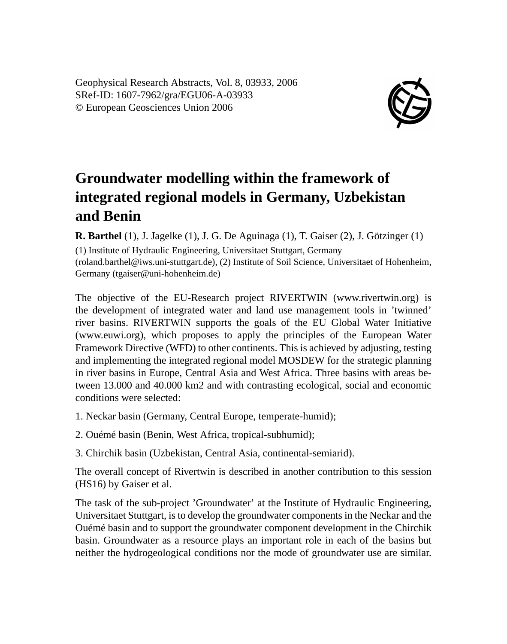Geophysical Research Abstracts, Vol. 8, 03933, 2006 SRef-ID: 1607-7962/gra/EGU06-A-03933 © European Geosciences Union 2006



## **Groundwater modelling within the framework of integrated regional models in Germany, Uzbekistan and Benin**

**R. Barthel** (1), J. Jagelke (1), J. G. De Aguinaga (1), T. Gaiser (2), J. Götzinger (1)

(1) Institute of Hydraulic Engineering, Universitaet Stuttgart, Germany (roland.barthel@iws.uni-stuttgart.de), (2) Institute of Soil Science, Universitaet of Hohenheim, Germany (tgaiser@uni-hohenheim.de)

The objective of the EU-Research project RIVERTWIN (www.rivertwin.org) is the development of integrated water and land use management tools in 'twinned' river basins. RIVERTWIN supports the goals of the EU Global Water Initiative (www.euwi.org), which proposes to apply the principles of the European Water Framework Directive (WFD) to other continents. This is achieved by adjusting, testing and implementing the integrated regional model MOSDEW for the strategic planning in river basins in Europe, Central Asia and West Africa. Three basins with areas between 13.000 and 40.000 km2 and with contrasting ecological, social and economic conditions were selected:

- 1. Neckar basin (Germany, Central Europe, temperate-humid);
- 2. Ouémé basin (Benin, West Africa, tropical-subhumid);
- 3. Chirchik basin (Uzbekistan, Central Asia, continental-semiarid).

The overall concept of Rivertwin is described in another contribution to this session (HS16) by Gaiser et al.

The task of the sub-project 'Groundwater' at the Institute of Hydraulic Engineering, Universitaet Stuttgart, is to develop the groundwater components in the Neckar and the Ouémé basin and to support the groundwater component development in the Chirchik basin. Groundwater as a resource plays an important role in each of the basins but neither the hydrogeological conditions nor the mode of groundwater use are similar.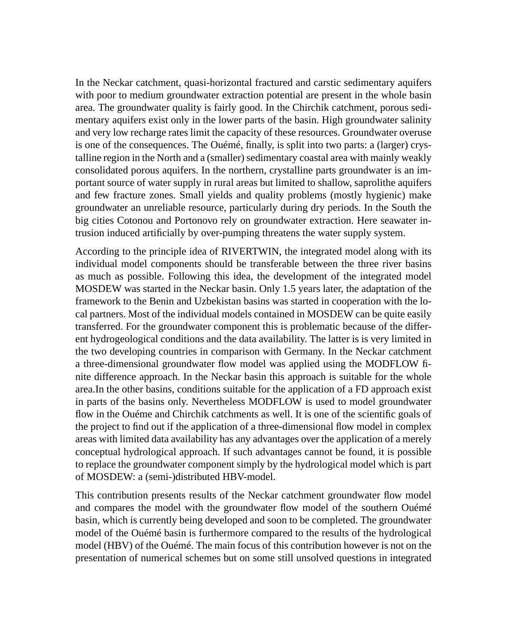In the Neckar catchment, quasi-horizontal fractured and carstic sedimentary aquifers with poor to medium groundwater extraction potential are present in the whole basin area. The groundwater quality is fairly good. In the Chirchik catchment, porous sedimentary aquifers exist only in the lower parts of the basin. High groundwater salinity and very low recharge rates limit the capacity of these resources. Groundwater overuse is one of the consequences. The Ouémé, finally, is split into two parts: a (larger) crystalline region in the North and a (smaller) sedimentary coastal area with mainly weakly consolidated porous aquifers. In the northern, crystalline parts groundwater is an important source of water supply in rural areas but limited to shallow, saprolithe aquifers and few fracture zones. Small yields and quality problems (mostly hygienic) make groundwater an unreliable resource, particularly during dry periods. In the South the big cities Cotonou and Portonovo rely on groundwater extraction. Here seawater intrusion induced artificially by over-pumping threatens the water supply system.

According to the principle idea of RIVERTWIN, the integrated model along with its individual model components should be transferable between the three river basins as much as possible. Following this idea, the development of the integrated model MOSDEW was started in the Neckar basin. Only 1.5 years later, the adaptation of the framework to the Benin and Uzbekistan basins was started in cooperation with the local partners. Most of the individual models contained in MOSDEW can be quite easily transferred. For the groundwater component this is problematic because of the different hydrogeological conditions and the data availability. The latter is is very limited in the two developing countries in comparison with Germany. In the Neckar catchment a three-dimensional groundwater flow model was applied using the MODFLOW finite difference approach. In the Neckar basin this approach is suitable for the whole area.In the other basins, conditions suitable for the application of a FD approach exist in parts of the basins only. Nevertheless MODFLOW is used to model groundwater flow in the Ouéme and Chirchik catchments as well. It is one of the scientific goals of the project to find out if the application of a three-dimensional flow model in complex areas with limited data availability has any advantages over the application of a merely conceptual hydrological approach. If such advantages cannot be found, it is possible to replace the groundwater component simply by the hydrological model which is part of MOSDEW: a (semi-)distributed HBV-model.

This contribution presents results of the Neckar catchment groundwater flow model and compares the model with the groundwater flow model of the southern Ouémé basin, which is currently being developed and soon to be completed. The groundwater model of the Ouémé basin is furthermore compared to the results of the hydrological model (HBV) of the Ouémé. The main focus of this contribution however is not on the presentation of numerical schemes but on some still unsolved questions in integrated